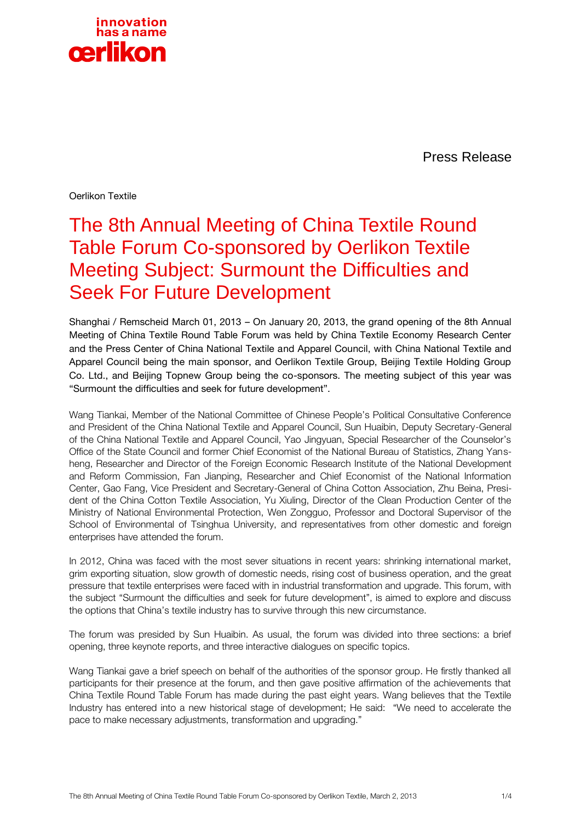

Press Release

Oerlikon Textile

## The 8th Annual Meeting of China Textile Round Table Forum Co-sponsored by Oerlikon Textile Meeting Subject: Surmount the Difficulties and Seek For Future Development

Shanghai / Remscheid March 01, 2013 – On January 20, 2013, the grand opening of the 8th Annual Meeting of China Textile Round Table Forum was held by China Textile Economy Research Center and the Press Center of China National Textile and Apparel Council, with China National Textile and Apparel Council being the main sponsor, and Oerlikon Textile Group, Beijing Textile Holding Group Co. Ltd., and Beijing Topnew Group being the co-sponsors. The meeting subject of this year was "Surmount the difficulties and seek for future development".

Wang Tiankai, Member of the National Committee of Chinese People's Political Consultative Conference and President of the China National Textile and Apparel Council, Sun Huaibin, Deputy Secretary-General of the China National Textile and Apparel Council, Yao Jingyuan, Special Researcher of the Counselor's Office of the State Council and former Chief Economist of the National Bureau of Statistics, Zhang Yansheng, Researcher and Director of the Foreign Economic Research Institute of the National Development and Reform Commission, Fan Jianping, Researcher and Chief Economist of the National Information Center, Gao Fang, Vice President and Secretary-General of China Cotton Association, Zhu Beina, President of the China Cotton Textile Association, Yu Xiuling, Director of the Clean Production Center of the Ministry of National Environmental Protection, Wen Zongguo, Professor and Doctoral Supervisor of the School of Environmental of Tsinghua University, and representatives from other domestic and foreign enterprises have attended the forum.

In 2012, China was faced with the most sever situations in recent years: shrinking international market, grim exporting situation, slow growth of domestic needs, rising cost of business operation, and the great pressure that textile enterprises were faced with in industrial transformation and upgrade. This forum, with the subject "Surmount the difficulties and seek for future development", is aimed to explore and discuss the options that China's textile industry has to survive through this new circumstance.

The forum was presided by Sun Huaibin. As usual, the forum was divided into three sections: a brief opening, three keynote reports, and three interactive dialogues on specific topics.

Wang Tiankai gave a brief speech on behalf of the authorities of the sponsor group. He firstly thanked all participants for their presence at the forum, and then gave positive affirmation of the achievements that China Textile Round Table Forum has made during the past eight years. Wang believes that the Textile Industry has entered into a new historical stage of development; He said: "We need to accelerate the pace to make necessary adjustments, transformation and upgrading."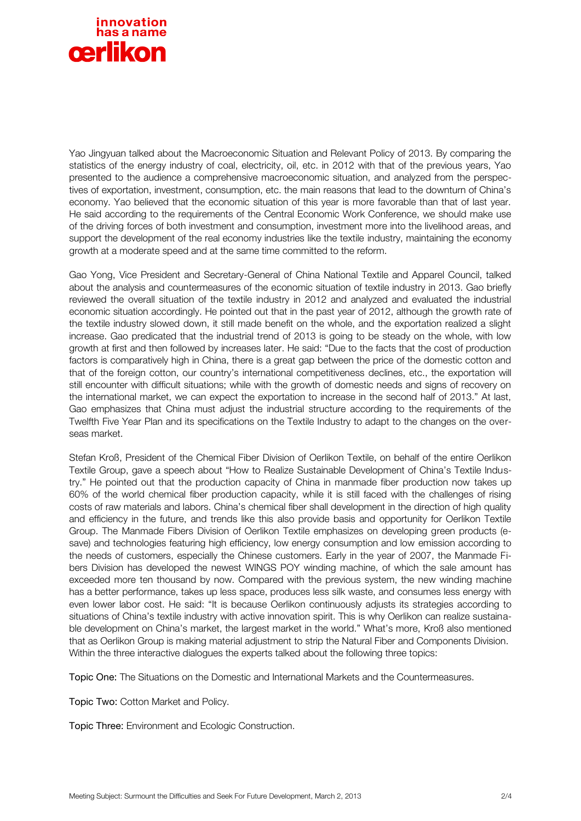

Yao Jingyuan talked about the Macroeconomic Situation and Relevant Policy of 2013. By comparing the statistics of the energy industry of coal, electricity, oil, etc. in 2012 with that of the previous years, Yao presented to the audience a comprehensive macroeconomic situation, and analyzed from the perspectives of exportation, investment, consumption, etc. the main reasons that lead to the downturn of China's economy. Yao believed that the economic situation of this year is more favorable than that of last year. He said according to the requirements of the Central Economic Work Conference, we should make use of the driving forces of both investment and consumption, investment more into the livelihood areas, and support the development of the real economy industries like the textile industry, maintaining the economy growth at a moderate speed and at the same time committed to the reform.

Gao Yong, Vice President and Secretary-General of China National Textile and Apparel Council, talked about the analysis and countermeasures of the economic situation of textile industry in 2013. Gao briefly reviewed the overall situation of the textile industry in 2012 and analyzed and evaluated the industrial economic situation accordingly. He pointed out that in the past year of 2012, although the growth rate of the textile industry slowed down, it still made benefit on the whole, and the exportation realized a slight increase. Gao predicated that the industrial trend of 2013 is going to be steady on the whole, with low growth at first and then followed by increases later. He said: "Due to the facts that the cost of production factors is comparatively high in China, there is a great gap between the price of the domestic cotton and that of the foreign cotton, our country's international competitiveness declines, etc., the exportation will still encounter with difficult situations; while with the growth of domestic needs and signs of recovery on the international market, we can expect the exportation to increase in the second half of 2013." At last, Gao emphasizes that China must adjust the industrial structure according to the requirements of the Twelfth Five Year Plan and its specifications on the Textile Industry to adapt to the changes on the overseas market.

Stefan Kroß, President of the Chemical Fiber Division of Oerlikon Textile, on behalf of the entire Oerlikon Textile Group, gave a speech about "How to Realize Sustainable Development of China's Textile Industry." He pointed out that the production capacity of China in manmade fiber production now takes up 60% of the world chemical fiber production capacity, while it is still faced with the challenges of rising costs of raw materials and labors. China's chemical fiber shall development in the direction of high quality and efficiency in the future, and trends like this also provide basis and opportunity for Oerlikon Textile Group. The Manmade Fibers Division of Oerlikon Textile emphasizes on developing green products (esave) and technologies featuring high efficiency, low energy consumption and low emission according to the needs of customers, especially the Chinese customers. Early in the year of 2007, the Manmade Fibers Division has developed the newest WINGS POY winding machine, of which the sale amount has exceeded more ten thousand by now. Compared with the previous system, the new winding machine has a better performance, takes up less space, produces less silk waste, and consumes less energy with even lower labor cost. He said: "It is because Oerlikon continuously adjusts its strategies according to situations of China's textile industry with active innovation spirit. This is why Oerlikon can realize sustainable development on China's market, the largest market in the world." What's more, Kroß also mentioned that as Oerlikon Group is making material adjustment to strip the Natural Fiber and Components Division. Within the three interactive dialogues the experts talked about the following three topics:

Topic One: The Situations on the Domestic and International Markets and the Countermeasures.

Topic Two: Cotton Market and Policy.

Topic Three: Environment and Ecologic Construction.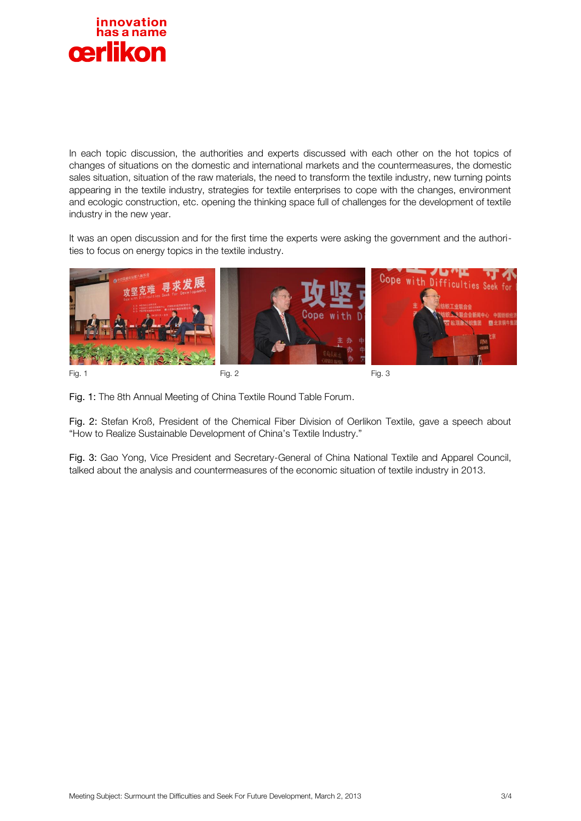

In each topic discussion, the authorities and experts discussed with each other on the hot topics of changes of situations on the domestic and international markets and the countermeasures, the domestic sales situation, situation of the raw materials, the need to transform the textile industry, new turning points appearing in the textile industry, strategies for textile enterprises to cope with the changes, environment and ecologic construction, etc. opening the thinking space full of challenges for the development of textile industry in the new year.

It was an open discussion and for the first time the experts were asking the government and the authorities to focus on energy topics in the textile industry.



Fig. 1: The 8th Annual Meeting of China Textile Round Table Forum.

Fig. 2: Stefan Kroß, President of the Chemical Fiber Division of Oerlikon Textile, gave a speech about "How to Realize Sustainable Development of China's Textile Industry."

Fig. 3: Gao Yong, Vice President and Secretary-General of China National Textile and Apparel Council, talked about the analysis and countermeasures of the economic situation of textile industry in 2013.